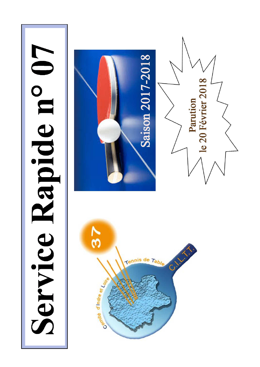# Service Rapide n° 07

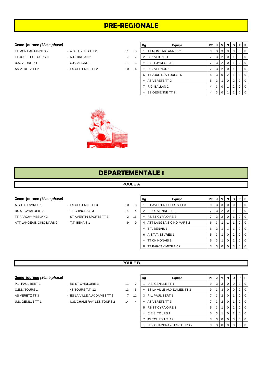# **PRE-REGIONALE**

### $3$ ème journée (2ème phase)

| TT MONT ARTANNES 2  |
|---------------------|
| TT JOUE LES TOURS 6 |
| U.S. VERNOU 1       |
| AS VERETZ TT 2      |

- A.S. LUYNES T.T 2 11 TT R.C. BALLAN 2 7
- ES OESIENNE TT 2 10

| 3ème journée (2ème phase) |                     |             |   | Rg | Equipe                    | PT I | JI             | v.             |                | <b>NDPF</b>    |                |  |
|---------------------------|---------------------|-------------|---|----|---------------------------|------|----------------|----------------|----------------|----------------|----------------|--|
| TT MONT ARTANNES 2        | - A.S. LUYNES T.T 2 | 11          | 3 |    | <b>TT MONT ARTANNES 2</b> | 9    | 3              | 3 I            | $\overline{0}$ |                | 0 0 0          |  |
| TT JOUE LES TOURS 6       | - R.C. BALLAN 2     | $7^{\circ}$ |   |    | 2 C.P. VEIGNE 1           |      | 3              | 2 <sup>1</sup> | 0              |                | $0$   0        |  |
| U.S. VERNOU 1             | - C.P. VEIGNE 1     | 11          | 3 |    | A.S. LUYNES T.T 2         |      | 3              | 2 <sup>1</sup> | 0              |                | $0$   0        |  |
| AS VERETZ TT 2            | - ES OESIENNE TT 2  | 10          | 4 |    | U.S. VERNOU 1             |      | 3              | 2 <sup>1</sup> | 0              |                | 0 <sub>0</sub> |  |
|                           |                     |             |   |    | 5 TT JOUE LES TOURS 6     | 5    | 3 <sup>1</sup> | $\overline{0}$ | 2              |                | 0 <sub>0</sub> |  |
|                           |                     |             |   |    | AS VERETZ TT 2            | 5    | 3              |                | 0              | 2 <sup>1</sup> | 0 <sub>0</sub> |  |
|                           |                     |             |   |    | R.C. BALLAN 2             | 4    | 3 <sup>1</sup> |                |                | $\overline{2}$ | $01$ 0         |  |
|                           |                     |             |   |    | <b>ES OESIENNE TT 2</b>   | 4    | 3              |                |                | 2              | 0 <sub>0</sub> |  |



## **DEPARTEMENTALE 1**

### **POULE A**

### **3ème** journée (2ème phase)

- A.S.T.T. ESVRES 1 ES OESIENNE TT 3 3 40 10 RS ST CYR/LOIRE 2 - TT CHINONAIS 3 2 14 TT PARCAY MESLAY 2 - ST AVERTIN SPORTS TT 3 2 1 ATT LANGEAIS-CINQ MARS 2 - T.T. BENAIS 1 9
	-
	-
	-

|   | Rg | Equipe                   | PТ | J | v              | N        | D | Р | F        |
|---|----|--------------------------|----|---|----------------|----------|---|---|----------|
| 8 |    | ST AVERTIN SPORTS TT 3   | 9  | 3 | 3              | 0        | 0 | O | 0        |
| 4 | 2  | ES OESIENNE TT 3         | 7  | 3 | 2              | $\Omega$ |   | O | 0        |
| 6 |    | <b>RS ST CYR/LOIRE 2</b> | 7  | 3 | $\overline{2}$ | $\Omega$ |   | Ω | 0        |
| 9 | 4  | ATT LANGEAIS-CINQ MARS 2 | 6  | 3 | 1              |          |   | O | 0        |
|   |    | T.T. BENAIS 1            | 6  | 3 | 1              |          |   | O | 0        |
|   | 6  | A.S.T.T. ESVRES 1        | 5  | 3 | 4              | 0        | 2 | O | $\Omega$ |
|   |    | TT CHINONAIS 3           | 5  | 3 | 1              | 0        | 2 | 0 | 0        |
|   | 8  | TT PARCAY MESLAY 2       | 3  | 3 |                | 0        | 3 |   | Ω        |

### **POULE B**

| 3ème journée (2ème phase) |  |
|---------------------------|--|
|---------------------------|--|

- P.L. PAUL BERT 1 RS ST CYR/LOIRE 3 11 7 C.E.S. TOURS 1 - 4S TOURS T.T. 12 13 5 U.S. GENILLE TT 1 - U.S. CHAMBRAY-LES-TOURS 2 14 4
	-
- AS VERETZ TT 3 ES LA VILLE AUX DAMES TT 3 7 11
	-

| <u>3ème journée</u> (2ème phase) |                              |    |    | Rg | Equipe                     | PT. |                | JVI               | N | D |                | PIF            |
|----------------------------------|------------------------------|----|----|----|----------------------------|-----|----------------|-------------------|---|---|----------------|----------------|
| P.L. PAUL BERT 1                 | - RS ST CYR/LOIRE 3          | 11 |    |    | U.S. GENILLE TT 1          |     | 3 <sup>1</sup> | -31               | 0 | 0 | $\Omega$       | $\overline{0}$ |
| C.E.S. TOURS 1                   | - 4S TOURS T.T. 12           | 13 | 5  |    | ES LA VILLE AUX DAMES TT 3 | 9   | 3 I            | l 3 I             | 0 | 0 |                | $01$ 0         |
| AS VERETZ TT 3                   | - ES LA VILLE AUX DAMES TT 3 | 7  | 11 |    | P.L. PAUL BERT 1           |     | 3              |                   |   |   | $\overline{0}$ | $\overline{0}$ |
| U.S. GENILLE TT 1                | - U.S. CHAMBRAY-LES-TOURS 2  | 14 | 4  |    | AS VERETZ TT 3             |     | 3 <sup>1</sup> |                   |   |   | $\Omega$       | $\overline{0}$ |
|                                  |                              |    |    | 5. | <b>RS ST CYR/LOIRE 3</b>   | 5   | 3              |                   | 0 | 2 | $\overline{0}$ | <b>0</b>       |
|                                  |                              |    |    |    | <b>C.E.S. TOURS 1</b>      | 5   | 3              |                   |   | 2 |                | $01$ 0         |
|                                  |                              |    |    |    | 4S TOURS T.T. 12           | 3   |                | $3 \mid 0 \mid 0$ |   | 3 |                | $01$ 0         |
|                                  |                              |    |    |    | U.S. CHAMBRAY-LES-TOURS 2  | 3   |                | 3000              |   | 3 |                | $01$ 0         |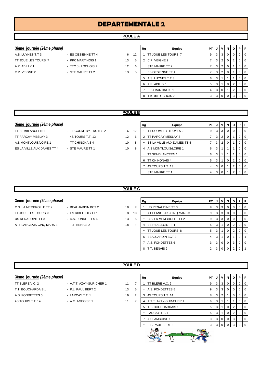# **DEPARTEMENTALE 2**

### **POULE A**

- 
- 
- **3ème journée** *(2ème phase)* **Rg Equipe PT J V N D P F** A.S. LUYNES T.T 3 - ES OESIENNE TT 4 6 12 1 TT JOUE LES TOURS 7 9 3 3 0 0 0 0 0 TT JOUE LES TOURS 7 - PPC MARTINOIS 1 13 5 2 C.P. VEIGNE 2 7 3 2 0 1 0 0 A.P. ABILLY 1  $\begin{array}{ccc} 1 & 0 & 0 \\ 0 & 1 & 0 \end{array}$  - TTC du LOCHOIS 2  $\begin{array}{ccc} 1 & 0 & 0 \\ 1 & 0 & 0 \end{array}$   $\begin{array}{ccc} 1 & 0 & 0 \\ 1 & 0 & 0 \end{array}$ C.P. VEIGNE 2 - STE MAURE TT 2 13 5 - ES OESIENNE TT 4 7 3 2 0 1 0 0 0 5 A.S. LUYNES T.T 3 6 3 1 1 1 0 0 6 A.P. ABILLY 1 5 3 1 0 2 0 0 7 PPC MARTINOIS 1 4 3 0 1 2 0 0 8 TTC du LOCHOIS 2 3 3 0 0 3 0 0

### **POULE B**

### **3ème** journée (2ème phase)

- TT SEMBLANCEEN 1 TT CORMERY-TRUYES 2 6 1 TT PARCAY MESLAY 3 - 4S TOURS T.T. 13 12 A.S MONTLOUIS/LOIRE 1 - TT CHINONAIS 4 3 2 3 2 10 ES LA VILLE AUX DAMES TT 4 - STE MAURE TT 1 4 4 A.S MONTLOUIS
- 

|   | Rg | Equipe                     | <b>PT</b> | J | v              | N        | D              | P        | F        |
|---|----|----------------------------|-----------|---|----------------|----------|----------------|----------|----------|
| 2 | 1  | TT CORMERY-TRUYES 2        | 9         | 3 | 3              | $\Omega$ | 0              | $\Omega$ | $\Omega$ |
| 6 | 2  | TT PARCAY MESLAY 3         | 7         | 3 | $\overline{2}$ | $\Omega$ | 1              | $\Omega$ | $\Omega$ |
| 8 |    | ES LA VILLE AUX DAMES TT 4 | 7         | 3 | $\overline{2}$ | $\Omega$ | 1              | $\Omega$ | $\Omega$ |
| 8 | 4  | A.S MONTLOUIS/LOIRE 1      | 6         | 3 | 1              | 1        | 1              | 0        | $\Omega$ |
|   |    | TT SEMBLANCEEN 1           | 6         | 3 | 1              | 1        | 1              | $\Omega$ | $\Omega$ |
|   | 6  | TT CHINONAIS 4             | 5         | 3 | 1              | $\Omega$ | 2              | $\Omega$ | $\Omega$ |
|   | 7  | 4S TOURS T.T. 13           | 4         | 3 | 0              | 1        | 2              | 0        | 0        |
|   |    | STE MAURE TT 1             | 4         | 3 | $\Omega$       | 1        | $\overline{2}$ | O        | ∩        |

### **POULE C**

### **3ème** journée (2ème phase)

- C.S. LA MEMBROLLE TT 2 BEAUJARDIN BCT 2 18 TT JOUE LES TOURS 8 - ES RIDELLOIS TT 1 8 1 US RENAUDINE TT 3 - A.S. FONDETTES 6 13 ATT LANGEAIS-CINQ MARS 3 - T.T. BENAIS 2 18
- 
- 

|                | Rg | Equipe                   | PT             | J | ν | N        | D | Р | F        |
|----------------|----|--------------------------|----------------|---|---|----------|---|---|----------|
| F              |    | US RENAUDINE TT 3        | 9              | 3 | 3 | $\Omega$ | O | O | O        |
| $\overline{0}$ |    | ATT LANGEAIS-CINQ MARS 3 | 9              | 3 | 3 | $\Omega$ | O | O | $\Omega$ |
| 5              |    | C.S. LA MEMBROLLE TT 2   | 9              | 3 | 3 | $\Omega$ | O | O | $\Omega$ |
| F              | 4  | <b>ES RIDELLOIS TT 1</b> | 5              | 3 | 1 | $\Omega$ | 2 | 0 | $\Omega$ |
|                |    | TT JOUE LES TOURS 8      | 5              | 3 | 1 | $\Omega$ | 2 | O | $\Omega$ |
|                | 6  | <b>BEAUJARDIN BCT 2</b>  | 4              | 3 | 1 | O        |   | O |          |
|                |    | A.S. FONDETTES 6         | 3              | 3 | 0 | 0        | 3 | 0 | $\Omega$ |
|                | 8  | T.T. BENAIS 2            | $\overline{2}$ | 3 |   |          | っ |   |          |

### **POULE D**

| 3ème journée (2ème phase) |  |  |  |  |
|---------------------------|--|--|--|--|
|---------------------------|--|--|--|--|

- 
- TT BLERE V.C. 2 A.T.T. AZAY-SUR-CHER 1 11 T.T. BOUCHARDAIS 1 - P.L. PAUL BERT 2 13 A.S. FONDETTES 5 - LARCAY T.T. 1 4S TOURS T.T. 14 - A.C. AMBOISE 1 11

| <u>3ème journée</u> (2ème phase) |                          |    |   | Rg | Equipe                 | PT |                | JIVI                    | N.          | D | <b>P</b> F     |                |
|----------------------------------|--------------------------|----|---|----|------------------------|----|----------------|-------------------------|-------------|---|----------------|----------------|
| TT BLERE V.C. 2                  | - A.T.T. AZAY-SUR-CHER 1 | 11 |   |    | TT BLERE V.C. 2        | 9  | $\mathbf{3}$   | $\overline{\mathbf{3}}$ | 0           | 0 | $0$   0        |                |
| T.T. BOUCHARDAIS 1               | - P.L. PAUL BERT 2       | 13 | 5 |    | A.S. FONDETTES 5       | 9  | 3 I            | l 3 l                   | -0          | 0 | $\overline{0}$ | $\overline{0}$ |
| A.S. FONDETTES 5                 | - LARCAY T.T. 1          | 16 | 2 | 3  | 4S TOURS T.T. 14       | 8  | 3              | 2                       |             | 0 | $\overline{0}$ | $\overline{0}$ |
| 4S TOURS T.T. 14                 | - A.C. AMBOISE 1         | 11 |   | 4  | A.T.T. AZAY-SUR-CHER 1 | 6  | 3              |                         |             |   | $\overline{0}$ | $\overline{0}$ |
|                                  |                          |    |   |    | 5 T.T. BOUCHARDAIS 1   | 5  | 3              |                         | $\mathbf 0$ | 2 | $\overline{0}$ | 0              |
|                                  |                          |    |   |    | LARCAY T.T. 1          | 5  | 3 <sup>1</sup> |                         | 0           | 2 | $\overline{0}$ | $\overline{0}$ |
|                                  |                          |    |   |    | A.C. AMBOISE 1         | 3  | 3              | 0                       |             | 3 | $\overline{0}$ | $\overline{0}$ |
|                                  |                          |    |   |    | P.L. PAUL BERT 2       | 3  | 3              |                         |             | 3 | $0$   0        |                |
|                                  |                          |    |   |    |                        |    |                |                         |             |   |                |                |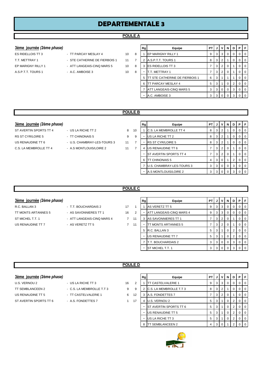# **DEPARTEMENTALE 3**

### **POULE A**

- -
	-
- **3ème journée** *(2ème phase)* **Rg Equipe PT J V N D P F** ES RIDELLOIS TT 3  $\begin{array}{ccc} \text{I} & \text{I} & \text{I} & \text{I} & \text{I} & \text{I} & \text{I} & \text{I} & \text{I} & \text{I} & \text{I} & \text{I} & \text{I} & \text{I} & \text{I} & \text{I} & \text{I} & \text{I} & \text{I} & \text{I} & \text{I} & \text{I} & \text{I} & \text{I} & \text{I} & \text{I} & \text{I} & \text{I} & \text{I} & \text{I} & \text{I} & \text{I} & \text{$ T.T. METTRAY 1 - STE CATHERINE DE FIERBOIS 1 11 7 2 A.S.P.T.T. TOURS 1 8 3 2 1 0 0 0 0 EP MARIGNY RILLY 1 - ATT LANGEAIS-CINQ MARS 5 10 8 3 ES RIDELLOIS TT 3  $\begin{bmatrix} 7 & 3 & 2 & 0 & 1 & 0 & 0 \\ 7 & 3 & 2 & 0 & 1 & 0 & 0 \\ 1 & 0 & 0 & 0 & 0 & 0 & 0 \\ 0 & 0 & 0 & 0 & 0 & 0 & 0 \\ 0 & 0 & 0 & 0 & 0 & 0 & 0 \\ 0 & 0 & 0 & 0 & 0 & 0 & 0 \\ 0 & 0 & 0 & 0 & 0 & 0$ A.S.P.T.T. TOURS 1 - A.C. AMBOISE 3 10 8 - T.T. METTRAY 1  $\begin{bmatrix} 1 & 3 & 2 & 0 & 1 & 0 & 0 \\ 7 & 3 & 2 & 0 & 1 & 0 & 0 \end{bmatrix}$ 5 TT STE CATHERINE DE FIERBOIS 1 6 3 1 1 1 0 0 6 TT PARCAY MESLAY 4 5 3 1 0 2 0 0 7 ATT LANGEAIS-CINQ MARS 5 3 3 0 0 3 0 0 A.C. AMBOISE 3 3 3 3 0 0 3 0

### **POULE B**

### **3ème** journée (2ème phase)

- C.S. LA MEMBROLLE TT 4 A.S MONTLOUIS/LOIRE 2 11 7
- ST AVERTIN SPORTS TT 4 US LA RICHE TT 2 8 10 RS ST CYR/LOIRE 5 - TT CHINONAIS 5 9 9 US RENAUDINE TT 6 - U.S. CHAMBRAY-LES-TOURS 3 41 7
	-

| Rg | Equipe                    | PТ | J | v              | N        | D | Р | F        |
|----|---------------------------|----|---|----------------|----------|---|---|----------|
| 1  | C.S. LA MEMBROLLE TT 4    | 8  | 3 | $\overline{2}$ |          | O | O | 0        |
| -  | US LA RICHE TT 2          | 8  | 3 | $\overline{2}$ |          | O | O | 0        |
|    | <b>RS ST CYR/LOIRE 5</b>  | 8  | 3 | $\overline{2}$ |          | O | O | 0        |
| 4  | US RENAUDINE TT 6         | 7  | 3 | $\overline{2}$ | 0        |   | O | 0        |
|    | ST AVERTIN SPORTS TT 4    | 7  | 3 | 2              | 0        |   | O | $\Omega$ |
| 6  | <b>TT CHINONAIS 5</b>     | 4  | 3 | $\Omega$       | 1        | 2 | O | $\Omega$ |
| 7  | U.S. CHAMBRAY-LES-TOURS 3 | 3  | 3 | $\Omega$       | $\Omega$ | 3 | O | U        |
|    | A.S MONTLOUIS/LOIRE 2     | 3  | 3 | 0              | O        | 3 |   |          |

### **POULE C**

### $3$ ème journée (2ème phase)

- ST MICHEL T.T. 1 ATT LANGEAIS-CINQ MARS 4 2 2 1 US RENAUDINE TT 7 - AS VERETZ TT 5 7 1
- R.C. BALLAN 3 **17** T.T. BOUCHARDAIS 2 17 TT MONTS ARTANNES 5 - AS SAVONNIERES TT 1 16 2
	-

|   | Rg | Equipe                   | PТ | J | v              | N | D | Р        | F        |
|---|----|--------------------------|----|---|----------------|---|---|----------|----------|
| 1 | 1  | <b>AS VERETZ TT 5</b>    | 9  | 3 | 3              | O | O | ∩        | $\Omega$ |
| 2 |    | ATT LANGEAIS-CINQ MARS 4 | 9  | 3 | 3              | O | 0 | 0        | 0        |
| 1 | 3  | AS SAVONNIERES TT 1      | 7  | 3 | $\overline{2}$ | 0 |   | 0        | 0        |
| 1 |    | TT MONTS ARTANNES 5      | 7  | 3 | $\overline{2}$ | 0 |   | 0        | 0        |
|   | 5  | R.C. BALLAN 3            | 5  | 3 |                | 0 | 2 | $\Omega$ | 0        |
|   |    | US RENAUDINE TT 7        | 5  | 3 |                | 0 | 2 | $\Omega$ | 0        |
|   | 7  | T.T. BOUCHARDAIS 2       | 3  | 3 | $\Omega$       | O | 3 | $\Omega$ | $\Omega$ |
|   |    | ST MICHEL T.T. 1         | 3  | 3 |                |   | 3 |          | 0        |

### **POULE D**

| 3ème journée (2ème phase) |  |
|---------------------------|--|
|                           |  |

- U.S. VERNOU 2 US LA RICHE TT 3 16 ST AVERTIN SPORTS TT 6 A.S. FONDETTES 7 1 1
- TT SEMBLANCEEN 2 C.S. LA MEMBROLLE T.T 3 3 US RENAUDINE TT 5 - TT CASTELVALERIE 1 6 12
	-

| <u>3ème journée</u> (2ème phase) |                           |    |    | Rg | Equipe                        | <b>PT</b> | J    | V I     | N        | D | PIF |                |
|----------------------------------|---------------------------|----|----|----|-------------------------------|-----------|------|---------|----------|---|-----|----------------|
| U.S. VERNOU 2                    | - US LA RICHE TT 3        | 16 | 2  |    | <b>TT CASTELVALERIE 1</b>     | 9         |      | 3 3 3 1 | $\Omega$ | 0 |     | 0 <sup>1</sup> |
| TT SEMBLANCEEN 2                 | - C.S. LA MEMBROLLE T.T 3 | 9  | 9  |    | C.S. LA MEMBROLLE T.T 3       | 8         | 3 I  |         |          | 0 |     | $01$ 0         |
| US RENAUDINE TT 5                | - TT CASTELVALERIE 1      | 6  | 12 | 3  | A.S. FONDETTES 7              |           | 3 I  |         | -0       |   |     | 0 I O          |
| ST AVERTIN SPORTS TT 6           | - A.S. FONDETTES 7        |    | 17 | 4  | U.S. VERNOU 2                 |           | 3    |         | 0        | 2 |     | $01$ 0         |
|                                  |                           |    |    |    | <b>ST AVERTIN SPORTS TT 6</b> | 5         | 3    |         |          | 2 |     | $0$ $\vert$ 0  |
|                                  |                           |    |    |    | US RENAUDINE TT 5             | 5         | 3    |         |          |   |     | $0$   0        |
|                                  |                           |    |    |    | US LA RICHE TT 3              | 5         | $-3$ |         | $\Omega$ | 2 |     | $01$ 0         |
|                                  |                           |    |    | 8  | <b>TT SEMBLANCEEN 2</b>       | 4         |      | 3 0     |          | 2 |     | 0 <sup>1</sup> |

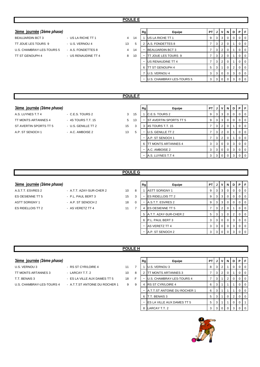### **3ème** journée (2ème phase)

- BEAUJARDIN BCT 3 US LA RICHE TT 1 4 TT JOUE LES TOURS 9 - U.S. VERNOU 4 13 U.S. CHAMBRAY-LES-TOURS 5 - A.S. FONDETTES 8 4 TT ST GENOUPH 4 - US RENAUDINE TT 4 3
- 

|    | Rg | Equipe                    | PT | J | ν        | N        | D        | Р        | F        |
|----|----|---------------------------|----|---|----------|----------|----------|----------|----------|
| 14 |    | US LA RICHE TT 1          | 9  | 3 | 3        | $\Omega$ | $\Omega$ | $\Omega$ | $\Omega$ |
| 5  | 2  | A.S. FONDETTES 8          | 7  | 3 | 2        | 0        | 1        | 0        | $\Omega$ |
| 14 |    | <b>BEAUJARDIN BCT 3</b>   | 7  | 3 | 2        | $\Omega$ | 1        | 0        | $\Omega$ |
| 10 |    | TT JOUE LES TOURS 9       | 7  | 3 | 2        | 0        | 1        | 0        | $\Omega$ |
|    |    | US RENAUDINE TT 4         | 7  | 3 | 2        | 0        | 1        | 0        | 0        |
|    | 6  | TT ST GENOUPH 4           | 5  | 3 | 1        | $\Omega$ | 2        | 0        | $\Omega$ |
|    | 7  | U.S. VERNOU 4             | 3  | 3 | $\Omega$ | $\Omega$ | 3        | 0        | $\Omega$ |
|    |    | U.S. CHAMBRAY-LES-TOURS 5 | 3  | 3 | 0        | $\Omega$ | 3        | $\Omega$ | $\Omega$ |

### **POULE F**

### **3ème** journée (2ème phase)

A.S. LUYNES T.T 4 - C.E.S. TOURS 2 3 15 TT MONTS ARTANNES 4 - 4S TOURS T.T. 15 5 13 ST AVERTIN SPORTS TT 5 - U.S. GENILLE TT 2 15 A.P. ST SENOCH 1 - A.C. AMBOISE 2 13

|   | Rg | Equipe                 | PT | J | ٧              | N        | D        | Р        | F        |
|---|----|------------------------|----|---|----------------|----------|----------|----------|----------|
| 5 |    | C.E.S. TOURS 2         | 9  | 3 | 3              | $\Omega$ | $\Omega$ | $\Omega$ | $\Omega$ |
| 3 |    | ST AVERTIN SPORTS TT 5 | 9  | 3 | 3              | $\Omega$ | $\Omega$ | $\Omega$ | $\Omega$ |
| 3 | 3  | 4S TOURS T.T. 15       | 7  | 3 | 2              | $\Omega$ | 1        | $\Omega$ | $\Omega$ |
| 5 |    | U.S. GENILLE TT 2      | 7  | 3 | $\overline{2}$ | $\Omega$ | 1        | $\Omega$ | $\Omega$ |
|   |    | A.P. ST SENOCH 1       | 7  | 3 | $\overline{2}$ | $\Omega$ | 1        | $\Omega$ | $\Omega$ |
|   | 6  | TT MONTS ARTANNES 4    | 3  | 3 | $\Omega$       | $\Omega$ | 3        | $\Omega$ | $\Omega$ |
|   |    | A.C. AMBOISE 2         | 3  | 3 | $\Omega$       | $\Omega$ | 3        | $\Omega$ | $\Omega$ |
|   |    | A.S. LUYNES T.T 4      | 3  | 3 | $\Omega$       | $\Omega$ | 3        | 0        | $\Omega$ |
|   |    |                        |    |   |                |          |          |          |          |

### **POULE G**

### $3\text{ème}$  journée (2ème phase)

ASTT SORIGNY 1 - A.P. ST SENOCH 2 18 0 ES RIDELLOIS TT 2 <sup>-</sup> AS VERETZ TT 4 <sup>11</sup> <sup>7</sup>

- A.S.T.T. ESVRES 2 A.T.T. AZAY-SUR-CHER 2 10 8 ES OESIENNE TT 5 - P.L. PAUL BERT 3 15 3
	-

| ٠, |  |  |  |
|----|--|--|--|

| Rg | Equipe                   | PТ | J | v              | N        | D        | Р        | F        |
|----|--------------------------|----|---|----------------|----------|----------|----------|----------|
|    | <b>ASTT SORIGNY 1</b>    | 9  | 3 | 3              | $\Omega$ | $\Omega$ | 0        | 0        |
|    | <b>ES RIDELLOIS TT 2</b> | 9  | 3 | 3              | $\Omega$ | $\Omega$ | $\Omega$ | 0        |
|    | A.S.T.T. ESVRES 2        | 9  | 3 | 3              | $\Omega$ | $\Omega$ | 0        | 0        |
| 4  | <b>ES OESIENNE TT 5</b>  | 7  | 3 | $\overline{2}$ | $\Omega$ |          | 0        | 0        |
| 5  | A.T.T. AZAY-SUR-CHER 2   | 5  | 3 |                | 0        | 2        | 0        | 0        |
| 6  | P.L. PAUL BERT 3         | 3  | 3 | $\Omega$       | $\Omega$ | 3        | 0        | 0        |
|    | <b>AS VERETZ TT 4</b>    | 3  | 3 | 0              | $\Omega$ | 3        | 0        | 0        |
|    | A.P. ST SENOCH 2         | 3  | 3 | ∩              | 0        | 3        | 0        | $\Omega$ |

### **POULE H**

### **3ème** journée (2ème phase)

- U.S. VERNOU 3  **RS ST CYR/LOIRE 4** 11 7 TT MONTS ARTANNES 3 - LARCAY T.T. 2 10 8
- T.T. BENAIS 3 ES LA VILLE AUX DAMES TT 5 18 F
	-
- U.S. CHAMBRAY-LES-TOURS 4 A.T.T.ST ANTOINE DU ROCHER 1 9 9

| Rg | Equipe                       | PТ |   | v              | N        | D        | Р        | F        |
|----|------------------------------|----|---|----------------|----------|----------|----------|----------|
|    | U.S. VERNOU 3                | 8  | 3 | $\overline{2}$ |          | 0        | 0        | $\Omega$ |
| 2  | TT MONTS ARTANNES 3          | 7  | 3 | $\overline{2}$ | $\Omega$ |          | 0        | $\Omega$ |
|    | U.S. CHAMBRAY-LES-TOURS 4    | 7  | 3 |                | 2        | $\Omega$ | 0        | $\Omega$ |
| 4  | <b>RS ST CYR/LOIRE 4</b>     | 6  | 3 |                |          |          | 0        | $\Omega$ |
|    | A.T.T.ST ANTOINE DU ROCHER 1 | 6  | 3 |                |          |          | 0        | 0        |
| 6  | T.T. BENAIS 3                | 5  | 3 |                | 0        | 2        | $\Omega$ | $\Omega$ |
|    | ES LA VILLE AUX DAMES TT 5   | 5  | 3 |                |          | $\Omega$ | $\Omega$ |          |
| 8  | LARCAY T.T. 2                | 3  | 3 |                | O        | 3        |          |          |

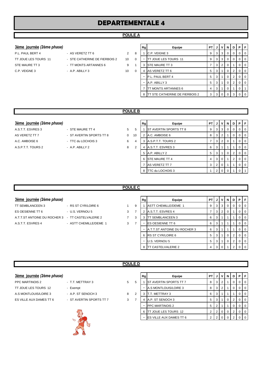# **DEPARTEMENTALE 4**

### **POULE A**

### **3ème** journée (2ème phase)

- P.L. PAUL BERT 4 AS VERETZ TT 6 2 8 TT JOUE LES TOURS 11 - STE CATHERINE DE FIERBOIS 2 10 0
	-

| 3ème journée (2ème phase) |                               |                |          | Rg | Equipe                                | PT I |                | JIVI           | N        | D ' | PIF            |                |
|---------------------------|-------------------------------|----------------|----------|----|---------------------------------------|------|----------------|----------------|----------|-----|----------------|----------------|
| P.L. PAUL BERT 4          | - AS VERETZ TT 6              | $\overline{2}$ | 8        |    | C.P. VEIGNE 3                         | 9    | 3 <sup>1</sup> | 3              | 0        |     |                | $\overline{0}$ |
| TT JOUE LES TOURS 11      | - STE CATHERINE DE FIERBOIS 2 | 10             | $\Omega$ | ۰  | TT JOUE LES TOURS 11                  | 9    |                | 3 3            | 0        |     |                | $\overline{0}$ |
| STE MAURE TT 3            | - TT MONTS ARTANNES 6         | 9              |          | 3  | <b>STE MAURE TT 3</b>                 |      | 3 <sup>1</sup> | $\overline{2}$ |          |     |                | l 0            |
| C.P. VEIGNE 3             | $-$ A.P. ABILLY 3             | 10             | $\Omega$ | 4  | AS VERETZ TT 6                        | 5    | 3              |                | 0        |     |                | $\overline{0}$ |
|                           |                               |                |          | ۰  | P.L. PAUL BERT 4                      | 5    | 3              |                | 0        | 2   |                | $\overline{0}$ |
|                           |                               |                |          |    | A.P. ABILLY 3                         | 5    | 3              |                | 0        | 2   |                | $\overline{0}$ |
|                           |                               |                |          |    | <b>ITT MONTS ARTANNES 6</b>           | 4    | 3 I            |                | 0        |     |                |                |
|                           |                               |                |          | 8  | <b>TT STE CATHERINE DE FIERBOIS 2</b> | 3    |                | 3 0            | $\Omega$ | 3   | 0 <sub>0</sub> |                |
|                           |                               |                |          |    |                                       |      |                |                |          |     |                |                |

### **POULE B**

- 
- **3ème journée** (2ème phase) **Rg Rg** Equipe **PT** J V N D P A.S.T.T. ESVRES 3 - STE MAURE TT 4 5 5 1 ST AVERTIN SPORTS TT 8 9 3 3 0 0 0 0 0 AS VERETZ TT 7 - ST AVERTIN SPORTS TT 8 0 10 2 A.C. AMBOISE 6 8 3 2 1 0 0 0 A.C. AMBOISE 6 - TTC du LOCHOIS 3 6 4 3 A.S.P.T.T. TOURS 2 7 3 2 0 1 0 0 A.S.P.T.T. TOURS 2 - A.P. ABILLY 2 8 2 4 A.S.T.T. ESVRES 3 6 3 1 1 1 0 0 5 A.P. ABILLY 2 <br> 5 3 1 0 2 0 0 6 STE MAURE TT 4 4 3 0 1 2 0 0 7 AS VERETZ TT 7 3 2 0 1 1 0 0 8 TTC du LOCHOIS 3 1 2 0 0 1 0

### **POULE C**

### **3ème** journée (2ème phase)

- TT SEMBLANCEEN 3 RS ST CYR/LOIRE 6 1 9 ES OESIENNE TT 6  $-$  U.S. VERNOU 5 3 7 A.T.T.ST ANTOINE DU ROCHER 3 - TT CASTELVALERIE 2 7 3
	-
	-

| A T T ST ANTOINE DU ROCHER 3 - TT CASTELVALERIE 2 |                        |  |
|---------------------------------------------------|------------------------|--|
| A.S.T.T. ESVRES 4                                 | - ASTT CHEMILLE/DEME 1 |  |

| Rg | Equipe                       | PТ | J | v              | N | D        | Р | F        |
|----|------------------------------|----|---|----------------|---|----------|---|----------|
|    | <b>ASTT CHEMILLE/DEME 1</b>  | 9  | 3 | 3              | 0 | $\Omega$ | O | 0        |
| 2  | A.S.T.T. ESVRES 4            | 7  | 3 | $\overline{2}$ | 0 | 1        | O | 0        |
| 3  | TT SEMBLANCEEN 3             | 6  | 3 |                |   |          | ი | 0        |
|    | <b>ES OESIENNE TT 6</b>      | 6  | 3 |                |   |          | ი | 0        |
|    | A.T.T.ST ANTOINE DU ROCHER 3 | 6  | 3 |                |   |          | Ω | 0        |
| 6  | <b>RS ST CYR/LOIRE 6</b>     | 5  | 3 |                | 0 | 2        | Ω | 0        |
|    | U.S. VERNOU 5                | 5  | 3 |                | ი | 2        | Ω | $\Omega$ |
| 8  | TT CASTELVALERIE 2           | 4  | 3 | Ω              |   |          |   |          |

### **POULE D**

| <u>3ème journée</u> (2è <i>me phase)</i> |  |
|------------------------------------------|--|
|                                          |  |

- PPC MARTINOIS 2 **FRAMELY** 2 5 TT JOUE LES TOURS 12 - Exempt A.S MONTLOUIS/LOIRE 3 - A.P. ST SENOCH 3 8 ES VILLE AUX DAMES TT 6 - ST AVERTIN SPORTS TT 7 3
	-
	-



| <u>3ème journée</u> (2ème phase) |                          |   |   | Rg | Equipe                         | PT I | J              | v | N              | D                    | PF        |                  |
|----------------------------------|--------------------------|---|---|----|--------------------------------|------|----------------|---|----------------|----------------------|-----------|------------------|
| PPC MARTINOIS 2                  | - T.T. METTRAY 3         | 5 | 5 |    | <b>ST AVERTIN SPORTS TT 7</b>  | 8    | 3              |   |                | U.                   | $0$   $0$ |                  |
| TT JOUE LES TOURS 12             | - Exempt                 |   |   |    | A.S MONTLOUIS/LOIRE 3          | 8    | 3              | 2 |                | O.                   | $0$   $0$ |                  |
| A.S MONTLOUIS/LOIRE 3            | - A.P. ST SENOCH 3       | 8 | 2 | 3  | T.T. METTRAY 3                 | 6    | 3              |   |                |                      | 0         | $\overline{1}$ 0 |
| ES VILLE AUX DAMES TT 6          | - ST AVERTIN SPORTS TT 7 | 3 |   | 4  | A.P. ST SENOCH 3               | 5    | 3              |   | 0              |                      | $0$   $0$ |                  |
|                                  |                          |   |   |    | <b>PPC MARTINOIS 2</b>         | 5    |                |   |                |                      | $0$   $0$ |                  |
|                                  | $\frac{1}{2}$            |   |   | 6  | TT JOUE LES TOURS 12           |      | 2 <sub>1</sub> |   | $\overline{0}$ | $\mathbf{2}^{\circ}$ | $01$ 0    |                  |
|                                  | $\gamma$                 |   |   |    | <b>ES VILLE AUX DAMES TT 6</b> | າ    |                |   |                |                      |           | $\overline{1}$ 0 |
|                                  |                          |   |   |    |                                |      |                |   |                |                      |           |                  |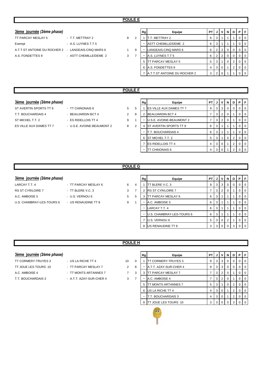### 3ème journée *(2ème phase)*

| TT PARCAY MESLAY 5                  | $-$ T.T. $\blacksquare$ |
|-------------------------------------|-------------------------|
| Exempt                              | $- A.S.$                |
| A.T.T.ST ANTOINE DU ROCHER 2 - LANG |                         |
| A.S. FONDETTES 9                    | - AST                   |

| <u>3ème journée</u> (2ème phase)                          |                        |   |    | Rg | Equipe                       | PT I |                | JIVI            | <b>N</b>       | D | PIF            |                |
|-----------------------------------------------------------|------------------------|---|----|----|------------------------------|------|----------------|-----------------|----------------|---|----------------|----------------|
| TT PARCAY MESLAY 5                                        | - T.T. METTRAY 2       | 8 |    |    | T.T. METTRAY 2               | 6    | 3 I            |                 |                |   |                | I 0            |
| Exempt                                                    | - A.S. LUYNES T.T 5    |   |    |    | ASTT CHEMILLE/DEME 2         | 6    | 3              |                 |                |   |                | <b>10</b>      |
| A.T.T.ST ANTOINE DU ROCHER 2     -   LANGEAIS-CINQ MARS 6 |                        |   | -9 | ۰  | LANGEAIS-CINQ MARS 6         | 6    |                | $2 \mid 2 \mid$ | $\overline{0}$ |   | 0 <sub>0</sub> |                |
| A.S. FONDETTES 9                                          | - ASTT CHEMILLE/DEME 2 | 3 |    |    | A.S. LUYNES T.T 5            | 6    |                | 2 2             | 0              |   |                | $\overline{0}$ |
|                                                           |                        |   |    | 5  | TT PARCAY MESLAY 5           | 5    |                |                 | $\overline{0}$ |   |                | $\overline{0}$ |
|                                                           |                        |   |    | 6  | A.S. FONDETTES 9             | 4    |                | 3 0             |                |   |                | $\overline{0}$ |
|                                                           |                        |   |    |    | A.T.T.ST ANTOINE DU ROCHER 2 | 3    | 2 <sub>1</sub> |                 |                |   |                | $\overline{0}$ |
|                                                           |                        |   |    |    |                              |      |                |                 |                |   |                |                |

### **POULE F**

### **3ème** journée (2ème phase)

ST AVERTIN SPORTS TT 9 - TT CHINONAIS 6 5 5 5 ST MICHEL T.T. 2 - ES RIDELLOIS TT 4 9 1 ES VILLE AUX DAMES TT 7 - U.S.E. AVOINE-BEAUMONT 2 8 2

- T.T. BOUCHARDAIS 4 BEAUJARDIN BCT 4 2 8
	-

|                | Rg | Equipe                   | PT | J | v        | N | D | Р | F        |
|----------------|----|--------------------------|----|---|----------|---|---|---|----------|
|                |    | ES VILLE AUX DAMES TT 7  | 9  | 3 | 3        | 0 | O | O | 0        |
|                | 2  | <b>BEAUJARDIN BCT 4</b>  | 7  | 3 | 2        | 0 |   | O | 0        |
|                |    | U.S.E. AVOINE-BEAUMONT 2 | 7  | 3 | 2        | 0 |   | O | $\Omega$ |
| $\overline{ }$ | 4  | ST AVERTIN SPORTS TT 9   | 6  | 3 | 1        |   |   | U | U        |
|                |    | T.T. BOUCHARDAIS 4       | 6  | 3 | 1        |   |   | O | $\Omega$ |
|                | 6  | ST MICHEL T.T. 2         | 5  | 3 | 1        | 0 | 2 | O | 0        |
|                | 7  | <b>ES RIDELLOIS TT 4</b> | 4  | 3 | $\Omega$ |   | 2 | O | U        |
|                |    | TT CHINONAIS 6           | 4  | 3 | n        |   | 2 |   |          |

### **POULE G**

### **3ème** journée (2ème phase)

- LARCAY T.T. 4  **PEDICAL TELACAY MESLAY 6** 4 RS ST CYR/LOIRE 7 **- TT BLERE V.C. 3** 3 7 A.C. AMBOISE 5 - U.S. VERNOU 6 5 5 5 U.S. CHAMBRAY-LES-TOURS 6 - US RENAUDINE TT 8 9 1
	-

| Rg | Equipe                    | PТ | J | v              | N        | D | P | F        |
|----|---------------------------|----|---|----------------|----------|---|---|----------|
|    | TT BLERE V.C. 3           | 9  | 3 | 3              | 0        | 0 | O | 0        |
| 2  | <b>RS ST CYR/LOIRE 7</b>  | 7  | 3 | $\overline{2}$ | $\Omega$ |   | O | $\Omega$ |
| 3  | TT PARCAY MESLAY 6        | 6  | 3 |                |          |   | O | 0        |
|    | A.C. AMBOISE 5            | 6  | 3 |                |          |   | O | 0        |
| -  | LARCAY T.T. 4             | 6  | 3 |                |          |   | O | $\Omega$ |
|    | U.S. CHAMBRAY-LES-TOURS 6 | 6  | 3 |                |          |   | O | $\Omega$ |
| 7  | U.S. VERNOU 6             | 5  | 3 | $\Omega$       | 2        |   | O | $\Omega$ |
| 8  | US RENAUDINE TT 8         | 3  | 3 | ∩              |          | 3 |   |          |

### **POULE H**

### **3ème** journée (2ème phase)

- TT CORMERY-TRUYES 3 US LA RICHE TT 4 10 TT JOUE LES TOURS 10 - TT PARCAY MESLAY 7 2
- 
- 
- 
- A.C. AMBOISE 4 <sup>-</sup> TT MONTS ARTANNES 7 <sup>7</sup>
- T.T. BOUCHARDAIS 3 A.T.T. AZAY-SUR-CHER 4 3

|          | Rg | Equipe                 | PТ | J | v              | N        | D        | Р        | F |
|----------|----|------------------------|----|---|----------------|----------|----------|----------|---|
| $\Omega$ | 1  | TT CORMERY-TRUYES 3    | 9  | 3 | 3              | 0        | $\Omega$ | 0        | O |
| 8        |    | A.T.T. AZAY-SUR-CHER 4 | 9  | 3 | 3              | $\Omega$ | $\Omega$ | $\Omega$ | 0 |
| 3        | 3  | TT PARCAY MESLAY 7     | 7  | 3 | $\overline{2}$ | $\Omega$ |          | O        | O |
| 7        |    | A.C. AMBOISE 4         | 7  | 3 | 2              | $\Omega$ |          | O        |   |
|          | 5  | TT MONTS ARTANNES 7    | 5  | 3 | 1              | $\Omega$ | 2        | 0        |   |
|          | 6  | US LA RICHE TT 4       | 4  | 3 | $\Omega$       | 1        | 2        | 0        |   |
|          |    | T.T. BOUCHARDAIS 3     | 4  | 3 | $\Omega$       | 1        | 2        | O        | O |
|          | 8  | TT JOUE LES TOURS 10   | 3  | 3 | 0              |          | 3        |          |   |

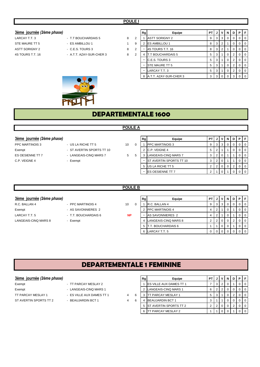### $3$ ème journée (2ème phase)

- STE MAURE TT 5 **ES AMBILLOU 1** ASTT SORIGNY 2 - C.E.S. TOURS 3 8 4S TOURS T.T. 16 **A.T.T. AZAY-SUR-CHER 3** 8
- LARCAY T.T. 3 **EXECUTE:** T.T BOUCHARDAIS 5 3
	-
	- -

|   | Rg | Equipe                   | PT | J | ٧              | N        | D | Р        | F        |
|---|----|--------------------------|----|---|----------------|----------|---|----------|----------|
| 2 |    | <b>ASTT SORIGNY 2</b>    | 9  | 3 | 3              | 0        | 0 | 0        | $\Omega$ |
| 9 | 2  | ES AMBILLOU 1            | 8  | 3 | $\overline{2}$ | 1        | 0 | $\Omega$ | $\Omega$ |
| 2 |    | 4S TOURS T.T. 16         | 8  | 3 | $\overline{2}$ | 1        | 0 | 0        | $\Omega$ |
| 2 | 4  | <b>T.T BOUCHARDAIS 5</b> | 5  | 3 | 1              | 0        | 2 | $\Omega$ | $\Omega$ |
|   | ۰  | C.E.S. TOURS 3           | 5  | 3 | 1              | $\Omega$ | 2 | $\Omega$ | $\Omega$ |
|   |    | STE MAURE TT 5           | 5  | 3 | 1              | $\Omega$ | 2 | 0        | $\Omega$ |
|   |    | LARCAY T.T. 3            | 5  | 3 | 1              | $\Omega$ | 2 | 0        | $\Omega$ |
|   | 8  | A.T.T. AZAY-SUR-CHER 3   | 3  | 3 | $\Omega$       | $\Omega$ | 3 | $\Omega$ | $\Omega$ |



# **DEPARTEMENTALE 1600**

### **POULE A**

- 
- 
- 
- 
- 

| 3ème journée (2ème phase) |                           |    | Rg | Equipe                          | <b>PT</b> |                |          | JVND | Þ | F                |
|---------------------------|---------------------------|----|----|---------------------------------|-----------|----------------|----------|------|---|------------------|
| <b>PPC MARTINOIS 3</b>    | - US LA RICHE TT 5        | 10 |    | <b>PPC MARTINOIS 3</b>          |           | 3 I            |          |      |   |                  |
| Exempt                    | - ST AVERTIN SPORTS TT 10 |    |    | C.P. VEIGNE 4                   | 5         | 2              |          |      |   |                  |
| ES OESIENNE TT 7          | - LANGEAIS-CINQ MARS 7    | 5  |    | LANGEAIS-CINQ MARS 7            |           | 2 <sup>1</sup> |          |      |   | $\overline{1}$ 0 |
| C.P. VEIGNE 4             | - Exempt                  |    |    | <b>IST AVERTIN SPORTS TT 10</b> |           | $\overline{2}$ | $\Omega$ |      |   | ΙO               |
|                           |                           |    |    | 5 US LA RICHE TT 5              |           | 2              |          |      |   |                  |
|                           |                           |    |    | <b>IES OESIENNE TT 7</b>        |           |                |          |      |   |                  |

### **POULE B**

### **3ème** journée (2ème phase)

- R.C. BALLAN 4 PPC MARTINOIS 4 3 10 0 Exempt - AS SAVONNIERES 2 LARCAY T.T. 5 **INCOLLAR SAVIOLAR T.T. BOUCHARDAIS 6** LANGEAIS-CINQ MARS 8 - Exempt
- -
	-
- 
- **NP**

| Rg             | Equipe                  | PT |   |   | N | D | Р |  |
|----------------|-------------------------|----|---|---|---|---|---|--|
|                | R.C. BALLAN 4           | 9  | 3 | 3 | O |   |   |  |
| $\overline{2}$ | <b>IPPC MARTINOIS 4</b> | 4  | 2 |   | O |   |   |  |
|                | AS SAVONNIERES 2        | 4  | 2 |   | 0 |   |   |  |
|                | LANGEAIS-CINQ MARS 8    | 2  | 2 | O | O | 2 |   |  |
| 5              | T.T. BOUCHARDAIS 6      | 4  |   | ი | O |   |   |  |
| 6              | ARCAY T.T. 5.           | n  |   |   |   |   |   |  |

### **DEPARTEMENTALE 1 FEMININE**

### **3ème** journée (2ème phase)

- Exempt TT PARCAY MESLAY 2 Exempt - LANGEAIS-CINQ MARS 1 TT PARCAY MESLAY 1 - ES VILLE AUX DAMES TT 1 4 6 ST AVERTIN SPORTS TT 2 - BEAUJARDIN BCT 1 4 6
	-
	-
	- -

| Rg | Equipe                    | ΡT |   |   |   |   |  |
|----|---------------------------|----|---|---|---|---|--|
|    | ES VILLE AUX DAMES TT 1   |    | 3 | 2 | 0 |   |  |
| 2  | LANGEAIS-CINQ MARS 1      | 6  | 2 | 2 | ი | 0 |  |
| 3  | <b>TT PARCAY MESLAY 1</b> | 5  | 3 |   |   | っ |  |
| 4  | <b>BEAUJARDIN BCT 1</b>   | 3  |   |   | ი | 0 |  |
| 5  | ST AVERTIN SPORTS TT 2    | 2  | っ |   | 0 | っ |  |
| 6  | TT PARCAY MESLAY 2        |    |   |   |   |   |  |
|    |                           |    |   |   |   |   |  |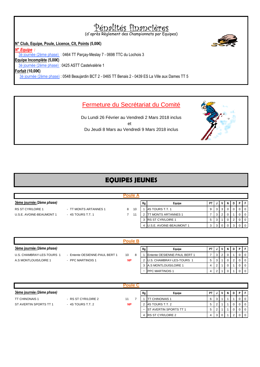**N° Club, Equipe, Poule, Licence, Clt, Points (5,00€)** *N° Equipe :*  3è journée (2ème phase) : 0464 TT Parçay-Meslay 7 - 0698 TTC du Lochois 3 **Equipe Incomplète (5,00€)** 3è journée (2ème phase) : 0425 ASTT Castelvalérie 1 **Forfait (10,00€)** 3è journée (2ème phase) : 0548 Beaujardin BCT 2 - 0465 TT Benais 2 - 0439 ES La Ville aux Dames TT 5 (d'après Règlement des Championnats par Equipes) Pénalités financières

### Fermeture du Secrétariat du Comité

Du Lundi 26 Février au Vendredi 2 Mars 2018 inclus Du Jeudi 8 Mars au Vendredi 9 Mars 2018 inclus et

# **EQUIPES JEUNES**

| 3ème journée (2ème phase) |                       |   |    | Rg | Equipe                          | <b>PT</b> |   | V   | N |  | PEL                      |
|---------------------------|-----------------------|---|----|----|---------------------------------|-----------|---|-----|---|--|--------------------------|
| RS ST CYR/LOIRE 1         | - TT MONTS ARTANNES 1 | 8 | 10 |    | 4S TOURS T.T. 1                 | 9         | 3 | - 3 |   |  | $\overline{101}$         |
| U.S.E. AVOINE-BEAUMONT 1  | - 4S TOURS T.T. 1     |   | 11 |    | <b>TT MONTS ARTANNES 1</b>      |           | 3 |     |   |  | $\circ$ 1                |
|                           |                       |   |    |    | 3 RS ST CYR/LOIRE 1             | 5         |   |     |   |  | $\overline{\phantom{0}}$ |
|                           |                       |   |    |    | <b>U.S.E. AVOINE-BEAUMONT 1</b> |           |   |     |   |  | $\circ$ 1                |

|                           |                                | <b>Poule B</b> |    |                              |      |  |        |                |
|---------------------------|--------------------------------|----------------|----|------------------------------|------|--|--------|----------------|
| 3ème journée (2ème phase) |                                |                | Rg | Equipe                       | PTIJ |  | D      | PFI            |
| U.S. CHAMBRAY-LES-TOURS 1 | - Entente OESIENNE-PAUL BERT 1 | 10             |    | Entente OESIENNE-PAUL BERT 1 |      |  |        |                |
| A.S MONTLOUIS/LOIRE 1     | - PPC MARTINOIS 1              | <b>NP</b>      |    | U.S. CHAMBRAY-LES-TOURS 1    |      |  | $\sim$ |                |
|                           |                                |                |    | A.S MONTLOUIS/LOIRE 1        | 4    |  |        | $\overline{0}$ |
|                           |                                |                |    | <b>PPC MARTINOIS 1</b>       |      |  |        |                |

| 3ème journée (2ème phase) |                     |           | Rg | Equipe                         | <b>PT</b> |   |  |  | PFI              |
|---------------------------|---------------------|-----------|----|--------------------------------|-----------|---|--|--|------------------|
| <b>TT CHINONAIS 1</b>     | - RS ST CYR/LOIRE 2 | 11        |    | <b>ITT CHINONAIS 1</b>         | 6         |   |  |  | $\overline{0}$   |
| ST AVERTIN SPORTS TT 1    | - 4S TOURS T.T. 2   | <b>NP</b> |    | 4S TOURS T.T. 2                |           |   |  |  | $\circ$ 1        |
|                           |                     |           | ۰  | <b>IST AVERTIN SPORTS TT 1</b> | 5         |   |  |  | $\overline{0}$   |
|                           |                     |           |    | 4 RS ST CYR/LOIRE 2            |           | 3 |  |  | $\overline{1}$ 0 |





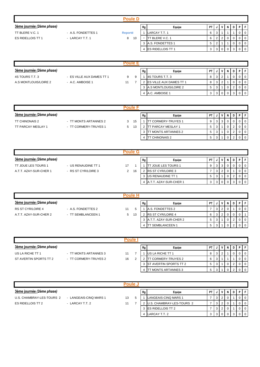|                           |                    | <b>Poule D</b> |    |                            |      |     |  |      |          |
|---------------------------|--------------------|----------------|----|----------------------------|------|-----|--|------|----------|
| 3ème journée (2ème phase) |                    |                | Rg | Equipe                     | PT I | V I |  | NDPI |          |
| TT BLERE V.C. 1           | - A.S. FONDETTES 1 | <b>Reporté</b> |    | LARCAY T.T. 1              |      |     |  |      |          |
| ES RIDELLOIS TT 1         | - LARCAY T.T. 1    | 10<br>8        | ۰  | TT BLERE V.C. 1            |      |     |  |      |          |
|                           |                    |                |    | 3 A.S. FONDETTES 1         | 5    |     |  |      | $\Omega$ |
|                           |                    |                |    | 4 <b>ES RIDELLOIS TT 1</b> |      |     |  |      |          |

| 3ème journée (2ème phase) |                           |    |   |  | Equipe                          | <b>PT</b> |   | V I | N | DI | P |  |
|---------------------------|---------------------------|----|---|--|---------------------------------|-----------|---|-----|---|----|---|--|
| 4S TOURS T.T. 3           | - ES VILLE AUX DAMES TT 1 | 9  | g |  | 4S TOURS T.T. 3                 | 8         | 3 |     |   |    |   |  |
| A.S MONTLOUIS/LOIRE 2     | - A.C. AMBOISE 1          | 11 |   |  | <b>IES VILLE AUX DAMES TT 1</b> | 8         | 3 |     |   |    |   |  |
|                           |                           |    |   |  | 3 A.S MONTLOUIS/LOIRE 2         | 5         |   |     |   |    |   |  |
|                           |                           |    |   |  | 4 A.C. AMBOISE 1                | 3         | 3 |     |   | 3  |   |  |

| Poule                     |                       |   |    |  |                            |           |   |   |   |     |  |
|---------------------------|-----------------------|---|----|--|----------------------------|-----------|---|---|---|-----|--|
| 3ème journée (2ème phase) |                       |   |    |  | Equipe                     | <b>PT</b> | J | V | N | D I |  |
| <b>TT CHINONAIS 2</b>     | - TT MONTS ARTANNES 2 | 3 | 15 |  | <b>IT CORMERY-TRUYES 1</b> | 9         |   |   |   |     |  |
| TT PARCAY MESLAY 1        | - TT CORMERY-TRUYES 1 | 5 | 13 |  | TT PARCAY MESLAY 1         | 5         |   |   |   |     |  |
|                           |                       |   |    |  | TT MONTS ARTANNES 2        | 5         |   |   |   |     |  |
|                           |                       |   |    |  | <b>TT CHINONAIS 2</b>      | 5         |   |   |   |     |  |

| Poule G                    |                     |    |    |    |                          |           |  |              |  |  |     |  |
|----------------------------|---------------------|----|----|----|--------------------------|-----------|--|--------------|--|--|-----|--|
| 3ème journée (2ème phase)  |                     |    |    | Rg | Equipe                   | <b>PT</b> |  | V I          |  |  | DIP |  |
| <b>TT JOUE LES TOURS 1</b> | - US RENAUDINE TT 1 | 17 |    |    | <b>TJOUE LES TOURS 1</b> | 9         |  | 3            |  |  |     |  |
| A.T.T. AZAY-SUR-CHER 1     | - RS ST CYR/LOIRE 3 | 2  | 16 |    | <b>RS ST CYR/LOIRE 3</b> |           |  | <sup>2</sup> |  |  |     |  |
|                            |                     |    |    |    | 3 US RENAUDINE TT 1      | 5         |  |              |  |  |     |  |
|                            |                     |    |    |    | A.T.T. AZAY-SUR-CHER 1   | 3         |  |              |  |  |     |  |

|                           |                    | oule    |    |                          |           |   |                |   |  |                          |
|---------------------------|--------------------|---------|----|--------------------------|-----------|---|----------------|---|--|--------------------------|
| 3ème journée (2ème phase) |                    |         | Rg | Equipe                   | <b>PT</b> |   |                | N |  | PFI                      |
| <b>RS ST CYR/LOIRE 4</b>  | - A.S. FONDETTES 2 | 11      |    | A.S. FONDETTES 2         |           | 3 | $\overline{2}$ |   |  | $\overline{0}$           |
| A.T.T. AZAY-SUR-CHER 2    | - TT SEMBLANCEEN 1 | 13<br>5 |    | <b>RS ST CYR/LOIRE 4</b> | 6         |   | 2              |   |  |                          |
|                           |                    |         |    | A.T.T. AZAY-SUR-CHER 2   | 5         |   |                |   |  | $\overline{\phantom{0}}$ |
|                           |                    |         |    | <b>ITT SEMBLANCEEN 1</b> | - 5       | 3 |                |   |  | $\overline{1}$ 0         |

|                           | Poule⊦                |    |  |    |                               |           |  |   |   |    |  |  |
|---------------------------|-----------------------|----|--|----|-------------------------------|-----------|--|---|---|----|--|--|
| 3ème journée (2ème phase) |                       |    |  | Rg | Equipe                        | <b>PT</b> |  | V | N | DΙ |  |  |
| US LA RICHE TT 1          | - TT MONTS ARTANNES 3 | 11 |  |    | US LA RICHE TT 1              | 8         |  |   |   |    |  |  |
| ST AVERTIN SPORTS TT 2    | - TT CORMERY-TRUYES 2 | 16 |  |    | <b>IT CORMERY-TRUYES 2</b>    | 6         |  |   |   |    |  |  |
|                           |                       |    |  |    | <b>ST AVERTIN SPORTS TT 2</b> | 5         |  |   |   |    |  |  |
|                           |                       |    |  |    | <b>ITT MONTS ARTANNES 3</b>   | 5         |  |   |   |    |  |  |

| Poule 、                   |                        |    |  |  |                             |           |  |              |  |  |     |  |
|---------------------------|------------------------|----|--|--|-----------------------------|-----------|--|--------------|--|--|-----|--|
| 3ème journée (2ème phase) |                        |    |  |  | Equipe                      | <b>PT</b> |  | v            |  |  | DIP |  |
| U.S. CHAMBRAY-LES-TOURS 2 | - LANGEAIS-CINQ MARS 1 | 13 |  |  | LANGEAIS-CINQ MARS 1        |           |  | $^{\circ}$ 2 |  |  |     |  |
| ES RIDELLOIS TT 2         | - LARCAY T.T. 2        | 11 |  |  | U.S. CHAMBRAY-LES-TOURS 2   |           |  | <sup>2</sup> |  |  |     |  |
|                           |                        |    |  |  | 3 <b>IES RIDELLOIS TT 2</b> |           |  | 2            |  |  |     |  |
|                           |                        |    |  |  | 4 LARCAY T.T. 2             | 3         |  | $\mathbf 0$  |  |  |     |  |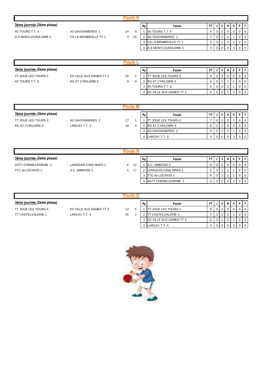| <u>3ème journée (</u> 2ème phase) |                        |    |    | Rg | Equipe                 | <b>PT</b>    |  | $\mathsf{I} \mathsf{V} \mathsf{I}$ |  |  | DIPIF |  |
|-----------------------------------|------------------------|----|----|----|------------------------|--------------|--|------------------------------------|--|--|-------|--|
| 4S TOURS T.T. 4                   | - AS SAVONNIERES 1     | 14 |    |    | 4S TOURS T.T. 4        | 9            |  |                                    |  |  |       |  |
| A.S MONTLOUIS/LOIRE 3             | - CS LA MEMBROLLE TT 1 | 3  | 15 |    | AS SAVONNIERES 1       |              |  |                                    |  |  |       |  |
|                                   |                        |    |    |    | 3 CS LA MEMBROLLE TT 1 | $\mathbf{p}$ |  |                                    |  |  |       |  |

4 A.S MONTLOUIS/LOIRE 3 3 3 0 0 3 0 0

| 'oule                     |                           |    |   |    |                                |           |  |              |   |  |  |
|---------------------------|---------------------------|----|---|----|--------------------------------|-----------|--|--------------|---|--|--|
| 3ème journée (2ème phase) |                           |    |   | Rg | Equipe                         | <b>PT</b> |  | V            | N |  |  |
| TT JOUE LES TOURS 2       | - ES VILLE AUX DAMES TT 2 | 16 |   |    | <b>ITT JOUE LES TOURS 2</b>    | 9         |  | 3            |   |  |  |
| 4S TOURS T.T. 5           | - RS ST CYR/LOIRE 5       | 9  | 9 |    | <b>RS ST CYR/LOIRE 5</b>       | 6         |  |              |   |  |  |
|                           |                           |    |   |    | 4S TOURS T.T. 5                | 5         |  | $\mathbf{0}$ |   |  |  |
|                           |                           |    |   |    | <b>ES VILLE AUX DAMES TT 2</b> |           |  |              |   |  |  |

|                           |                    | Poule M |    |                             |           |              |   |     |  |
|---------------------------|--------------------|---------|----|-----------------------------|-----------|--------------|---|-----|--|
| 3ème journée (2ème phase) |                    |         | Rg | Equipe                      | <b>PT</b> | $\mathbf{v}$ | N | D I |  |
| TT JOUE LES TOURS 3       | - AS SAVONNIERES 2 | 17      |    | <b>ITT JOUE LES TOURS 3</b> |           | 2            |   |     |  |
| RS ST CYR/LOIRE 6         | - LARCAY T.T. 3    | 18      |    | <b>RS ST CYR/LOIRE 6</b>    | 6         |              |   |     |  |
|                           |                    |         |    | AS SAVONNIERES 2            |           |              |   |     |  |
|                           |                    |         |    | LARCAY T.T. 3               | 3         |              |   |     |  |

| oule N                      |                        |   |    |    |                      |     |   |   |  |     |  |
|-----------------------------|------------------------|---|----|----|----------------------|-----|---|---|--|-----|--|
| 3ème journée (2ème phase)   |                        |   |    | Rg | Equipe               | -PT |   | v |  | D I |  |
| <b>ASTT CHEMILLE/DEME 1</b> | - LANGEAIS-CINQ MARS 2 | 6 | 12 |    | A.C. AMBOISE 2       | 9   |   | 3 |  |     |  |
| TTC du LOCHOIS 1            | - A.C. AMBOISE 2       |   | 17 |    | LANGEAIS-CINQ MARS 2 | 6   | 3 |   |  |     |  |
|                             |                        |   |    |    | ITTC du LOCHOIS 1    | 6   | 3 |   |  |     |  |
|                             |                        |   |    |    | ASTT CHEMILLE/DEME 1 |     | ت |   |  |     |  |

| oule                      |                           |    |  |    |                                   |           |  |   |  |  |  |
|---------------------------|---------------------------|----|--|----|-----------------------------------|-----------|--|---|--|--|--|
| 3ème journée (2ème phase) |                           |    |  | Rg | Equipe                            | <b>PT</b> |  |   |  |  |  |
| TT JOUE LES TOURS 4       | - ES VILLE AUX DAMES TT 3 | 13 |  |    | JOUE LES TOURS 4                  |           |  | 3 |  |  |  |
| <b>TT CASTELVALERIE 1</b> | - LARCAY T.T. 4           | 16 |  |    | <b>T CASTELVALERIE 1</b>          |           |  | 2 |  |  |  |
|                           |                           |    |  |    | 3 <b>IES VILLE AUX DAMES TT 3</b> | 5         |  |   |  |  |  |
|                           |                           |    |  |    | LARCAY T.T. 4                     |           |  | 0 |  |  |  |

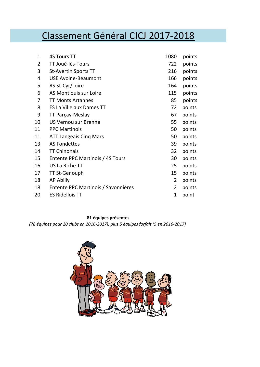# Classement Général CICJ 2017-2018

| 1  | <b>4S Tours TT</b>                  | 1080 | points |
|----|-------------------------------------|------|--------|
| 2  | TT Joué-lès-Tours                   | 722  | points |
| 3  | <b>St-Avertin Sports TT</b>         | 216  | points |
| 4  | <b>USE Avoine-Beaumont</b>          | 166  | points |
| 5  | RS St-Cyr/Loire                     | 164  | points |
| 6  | AS Montlouis sur Loire              | 115  | points |
| 7  | <b>TT Monts Artannes</b>            | 85   | points |
| 8  | ES La Ville aux Dames TT            | 72   | points |
| 9  | TT Parçay-Meslay                    | 67   | points |
| 10 | US Vernou sur Brenne                | 55   | points |
| 11 | <b>PPC Martinois</b>                | 50   | points |
| 11 | <b>ATT Langeais Cing Mars</b>       | 50   | points |
| 13 | <b>AS Fondettes</b>                 | 39   | points |
| 14 | <b>TT Chinonais</b>                 | 32   | points |
| 15 | Entente PPC Martinois / 4S Tours    | 30   | points |
| 16 | US La Riche TT                      | 25   | points |
| 17 | <b>TT St-Genouph</b>                | 15   | points |
| 18 | <b>AP Abilly</b>                    | 2    | points |
| 18 | Entente PPC Martinois / Savonnières | 2    | points |
| 20 | <b>ES Ridellois TT</b>              | 1    | point  |

### **81 équipes présentes**

*(78 équipes pour 20 clubs en 2016-2017), plus 5 équipes forfait (5 en 2016-2017)*

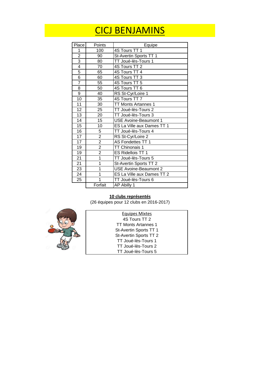# CICJ BENJAMINS

| Place           | Points                  | Equipe                       |
|-----------------|-------------------------|------------------------------|
| 1               | 100                     | 4S Tours TT 1                |
| $\overline{2}$  | 90                      | St-Avertin Sports TT 1       |
| $\overline{3}$  | 80                      | TT Joué-lès-Tours 1          |
| $\overline{4}$  | 70                      | 4S Tours TT 2                |
| $\overline{5}$  | 65                      | 4S Tours TT 4                |
| $\overline{6}$  | 60                      | 4S Tours TT 3                |
| 7               | 55                      | 4S Tours TT 5                |
| $\overline{8}$  | 50                      | 4S Tours TT 6                |
| $\overline{9}$  | 40                      | RS St-Cyr/Loire 1            |
| 10              | 35                      | 4S Tours TT 7                |
| 11              | 30                      | TT Monts Artannes 1          |
| $\overline{12}$ | 25                      | TT Joué-lès-Tours 2          |
| $\overline{13}$ | 20                      | TT Joué-lès-Tours 3          |
| 14              | 15                      | <b>USE Avoine-Beaumont 1</b> |
| 15              | 10                      | ES La Ville aux Dames TT 1   |
| 16              | 5                       | TT Joué-lès-Tours 4          |
| 17              | $\frac{2}{2}$           | RS St-Cyr/Loire 2            |
| 17              |                         | AS Fondettes TT 1            |
| 19              | $\overline{2}$          | TT Chinonais 1               |
| 19              | $\overline{2}$          | ES Ridellois TT 1            |
| $\overline{2}1$ | $\overline{1}$          | TT Joué-lès-Tours 5          |
| 21              | $\overline{1}$          | St-Avertin Sports TT 2       |
| 23              | $\overline{\mathbf{1}}$ | <b>USE Avoine-Beaumont 2</b> |
| 24              | $\overline{1}$          | ES La Ville aux Dames TT 2   |
| 25              | $\overline{1}$          | TT Joué-lès-Tours 6          |
|                 | Forfait                 | AP Abilly 1                  |

### **10 clubs représentés**

(26 équipes pour 12 clubs en 2016-2017)



| <b>Equipes Mixtes</b>  |  |
|------------------------|--|
| 4S Tours TT 2          |  |
| TT Monts Artannes 1    |  |
| St-Avertin Sports TT 1 |  |
| St-Avertin Sports TT 2 |  |
| TT Joué-lès-Tours 1    |  |
| TT Joué-lès-Tours 2    |  |
| TT Joué-lès-Tours 5    |  |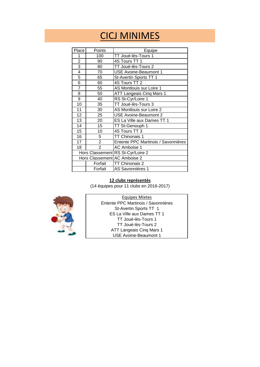# CICJ MINIMES

| Place          | Points         | Equipe                              |
|----------------|----------------|-------------------------------------|
| 1              | 100            | TT Joué-lès-Tours 1                 |
| $\overline{2}$ | 90             | 4S Tours TT 1                       |
| $\overline{3}$ | 80             | TT Joué-lès-Tours 2                 |
| 4              | 70             | <b>USE Avoine-Beaumont 1</b>        |
| $\overline{5}$ | 65             | St-Avertin Sports TT 1              |
| $\overline{6}$ | 60             | 4S Tours TT 2                       |
| $\overline{7}$ | 55             | AS Montlouis sur Loire 1            |
| 8              | 50             | <b>ATT Langeais Cinq Mars 1</b>     |
| 9              | 40             | RS St-Cyr/Loire 1                   |
| 10             | 35             | TT Joué-lès-Tours 3                 |
| 11             | 30             | AS Montlouis sur Loire 2            |
| 12             | 25             | <b>USE Avoine-Beaumont 2</b>        |
| 13             | 20             | ES La Ville aux Dames TT 1          |
| 14             | 15             | TT St-Genouph 1                     |
| 15             | 10             | 4S Tours TT 3                       |
| 16             | 5              | TT Chinonais 1                      |
| 17             | $\overline{2}$ | Entente PPC Martinois / Savonnières |
| 18             | $\overline{2}$ | AC Amboise 1                        |
|                |                | Hors Classement RS St-Cyr/Loire 2   |
|                |                | Hors Classement AC Amboise 2        |
|                | Forfait        | TT Chinonais 2                      |
|                | Forfait        | AS Savonnières 1                    |

### **12 clubs représentés**

(14 équipes pour 11 clubs en 2016-2017)



ES La Ville aux Dames TT 1 TT Joué-lès-Tours 1 TT Joué-lès-Tours 2 ATT Langeais Cinq Mars 1 USE Avoine-Beaumont 1 Equipes Mixtes Entente PPC Martinois / Savonnières St-Avertin Sports TT 1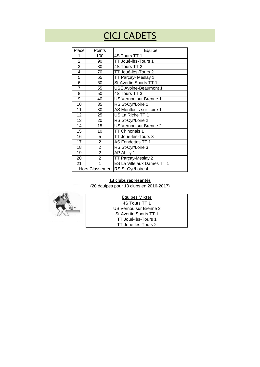# CICJ CADETS

| Place          | Points         | Equipe                            |
|----------------|----------------|-----------------------------------|
| 1              | 100            | 4S Tours TT 1                     |
| $\overline{2}$ | 90             | TT Joué-lès-Tours 1               |
| $\overline{3}$ | 80             | 4S Tours TT 2                     |
| $\overline{4}$ | 70             | TT Joué-lès-Tours 2               |
| $\overline{5}$ | 65             | TT Parçay- Meslay 1               |
| $\overline{6}$ | 60             | St-Avertin Sports TT 1            |
| $\overline{7}$ | 55             | <b>USE Avoine-Beaumont 1</b>      |
| 8              | 50             | 4S Tours TT 3                     |
| 9              | 40             | US Vernou sur Brenne 1            |
| 10             | 35             | RS St-Cyr/Loire 1                 |
| 11             | 30             | AS Montlouis sur Loire 1          |
| 12             | 25             | US La Riche TT 1                  |
| 13             | 20             | RS St-Cyr/Loire 2                 |
| 14             | 15             | US Vernou sur Brenne 2            |
| 15             | 10             | <b>TT Chinonais 1</b>             |
| 16             | 5              | TT Joué-lès-Tours 3               |
| 17             | $\overline{2}$ | AS Fondettes TT 1                 |
| 18             | $\overline{2}$ | RS St-Cyr/Loire 3                 |
| 19             | $\overline{2}$ | AP Abilly 1                       |
| 20             | $\overline{2}$ | TT Parçay-Meslay 2                |
| 21             | 1              | ES La Ville aux Dames TT 1        |
|                |                | Hors Classement RS St-Cyr/Loire 4 |

### **13 clubs représentés**

(20 équipes pour 13 clubs en 2016-2017)



US Vernou sur Brenne 2 St-Avertin Sports TT 1 TT Joué-lès-Tours 1 TT Joué-lès-Tours 2 Equipes Mixtes 4S Tours TT 1